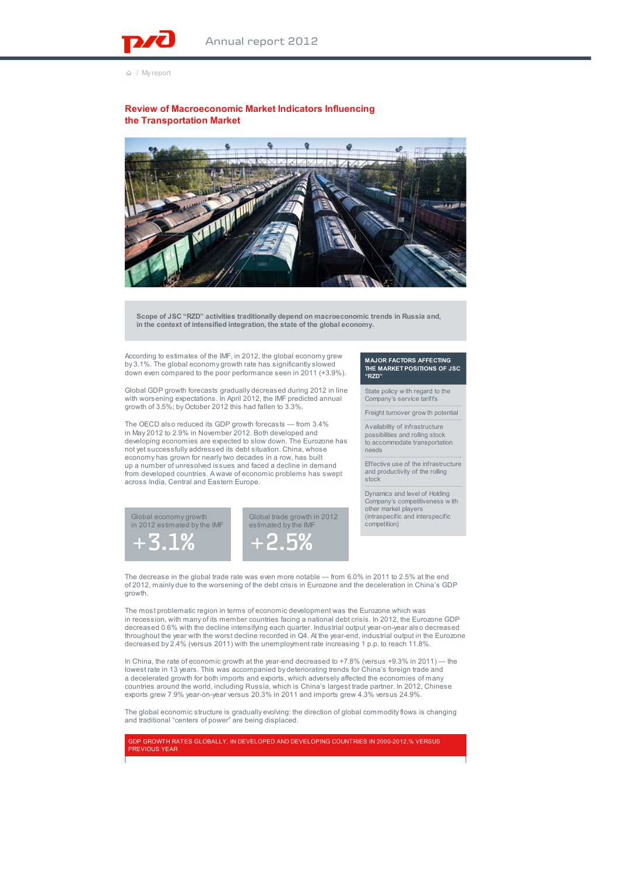/ My report

## **Review of Macroeconomic Market Indicators Influencing the Transportation Market**



**Scope of JSC "RZD" activities traditionally depend on macroeconomic trends in Russia and, in the context of intensified integration, the state of the global economy.**

According to estimates of the IMF, in 2012, the global economy grew by 3.1%. The global economy growth rate has significantly slowed down even compared to the poor performance seen in 2011 (+3.9%).

Global GDP growth forecasts gradually decreased during 2012 in line with worsening expectations. In April 2012, the IMF predicted annual growth of 3.5%; by October 2012 this had fallen to 3.3%.

The OECD also reduced its GDP growth forecasts — from 3.4% in May 2012 to 2.9% in November 2012. Both developed and developing economies are expected to slow down. The Eurozone has not yet successfully addressed its debt situation. China, whose economy has grown for nearly two decades in a row, has built up a number of unresolved issues and faced a decline in demand from developed countries. A wave of economic problems has swept across India, Central and Eastern Europe.

## **MAJOR FACTORS AFFECTING THE MARKET POSITIONS OF JSC "RZD"**

State policy w ith regard to the Company's service tariffs

Freight turnover grow th potential

Availability of infrastructure possibilities and rolling stock to accommodate transportation needs

Effective use of the infrastructure and productivity of the rolling stock

Dynamics and level of Holding Company's competitiveness w ith other market players (intraspecific and interspecific competition)





## The decrease in the global trade rate was even more notable — from 6.0% in 2011 to 2.5% at the end of 2012, mainly due to the worsening of the debt crisis in Eurozone and the deceleration in China's GDP growth.

The most problematic region in terms of economic development was the Eurozone which was in recession, with many of its member countries facing a national debt crisis. In 2012, the Eurozone GDP decreased 0.6% with the decline intensifying each quarter. Industrial output year-on-year also decreased throughout the year with the worst decline recorded in Q4. At the year-end, industrial output in the Eurozone decreased by 2.4% (versus 2011) with the unemployment rate increasing 1 p.p. to reach 11.8%.

In China, the rate of economic growth at the year-end decreased to +7.8% (versus +9.3% in 2011) — the lowest rate in 13 years. This was accompanied by deteriorating trends for China's foreign trade and a decelerated growth for both imports and exports, which adversely affected the economies of many countries around the world, including Russia, which is China's largest trade partner. In 2012, Chinese exports grew 7.9% year-on-year versus 20.3% in 2011 and imports grew 4.3% versus 24.9%.

The global economic structure is gradually evolving: the direction of global commodity flows is changing and traditional "centers of power" are being displaced.

GDP GROWTH RATES GLOBALLY, IN DEVELOPED AND DEVELOPING COUNTRIES IN 2000-2012,% VERSUS **REVIOUS YEAR**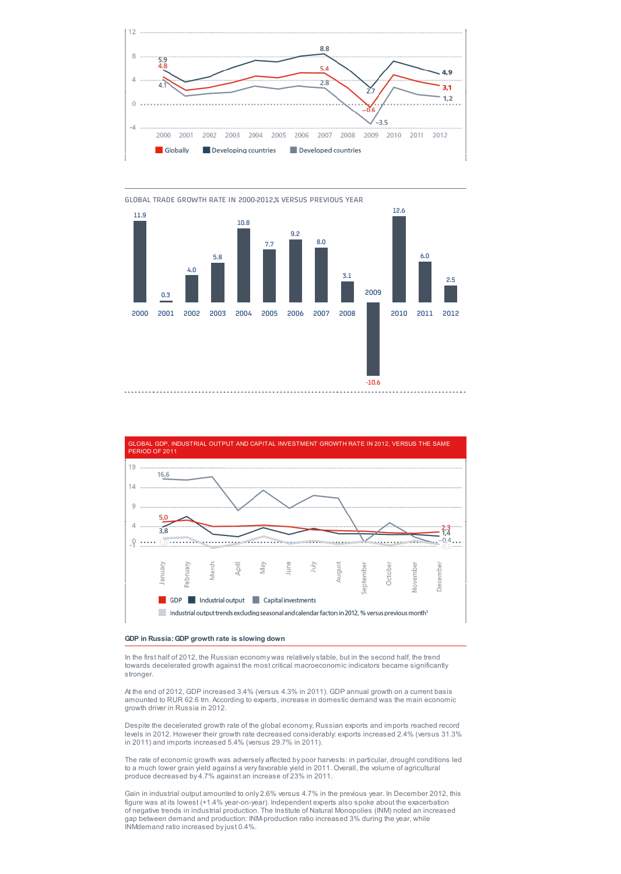







In the first half of 2012, the Russian economy was relatively stable, but in the second half, the trend towards decelerated growth against the most critical macroeconomic indicators became significantly stronger.

At the end of 2012, GDP increased 3.4% (versus 4.3% in 2011). GDP annual growth on a current basis amounted to RUR 62.6 trn. According to experts, increase in domestic demand was the main economic growth driver in Russia in 2012.

Despite the decelerated growth rate of the global economy, Russian exports and imports reached record levels in 2012. However their growth rate decreased considerably: exports increased 2.4% (versus 31.3% in 2011) and imports increased 5.4% (versus 29.7% in 2011).

The rate of economic growth was adversely affected by poor harvests: in particular, drought conditions led to a much lower grain yield against a very favorable yield in 2011. Overall, the volume of agricultural produce decreased by 4.7% against an increase of 23% in 2011.

Gain in industrial output amounted to only 2.6% versus 4.7% in the previous year. In December 2012, this figure was at its lowest (+1.4% year-on-year). Independent experts also spoke about the exacerbation<br>of negative trends in industrial production. The Institute of Natural Monopolies (INM) noted an increased<br>gap between dem INMdemand ratio increased by just 0.4%.

GLOBAL TRADE GROWTH RATE IN 2000-2012,% VERSUS PREVIOUS YEAR